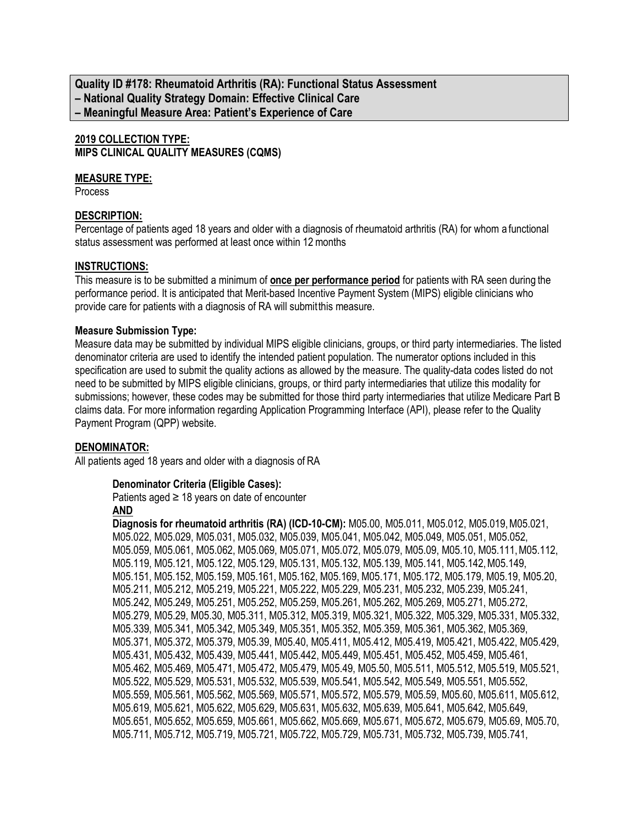**Quality ID #178: Rheumatoid Arthritis (RA): Functional Status Assessment – National Quality Strategy Domain: Effective Clinical Care – Meaningful Measure Area: Patient's Experience of Care**

## **2019 COLLECTION TYPE: MIPS CLINICAL QUALITY MEASURES (CQMS)**

## **MEASURE TYPE:**

**Process** 

## **DESCRIPTION:**

Percentage of patients aged 18 years and older with a diagnosis of rheumatoid arthritis (RA) for whom a functional status assessment was performed at least once within 12months

### **INSTRUCTIONS:**

This measure is to be submitted a minimum of **once per performance period** for patients with RA seen during the performance period. It is anticipated that Merit-based Incentive Payment System (MIPS) eligible clinicians who provide care for patients with a diagnosis of RA will submitthis measure.

#### **Measure Submission Type:**

Measure data may be submitted by individual MIPS eligible clinicians, groups, or third party intermediaries. The listed denominator criteria are used to identify the intended patient population. The numerator options included in this specification are used to submit the quality actions as allowed by the measure. The quality-data codes listed do not need to be submitted by MIPS eligible clinicians, groups, or third party intermediaries that utilize this modality for submissions; however, these codes may be submitted for those third party intermediaries that utilize Medicare Part B claims data. For more information regarding Application Programming Interface (API), please refer to the Quality Payment Program (QPP) website.

## **DENOMINATOR:**

All patients aged 18 years and older with a diagnosis of RA

## **Denominator Criteria (Eligible Cases):**

Patients aged  $\geq$  18 years on date of encounter

## **AND**

**Diagnosis for rheumatoid arthritis (RA) (ICD-10-CM):** M05.00, M05.011, M05.012, M05.019,M05.021, M05.022, M05.029, M05.031, M05.032, M05.039, M05.041, M05.042, M05.049, M05.051, M05.052, M05.059, M05.061, M05.062, M05.069, M05.071, M05.072, M05.079, M05.09, M05.10, M05.111,M05.112, M05.119, M05.121, M05.122, M05.129, M05.131, M05.132, M05.139, M05.141, M05.142,M05.149, M05.151, M05.152, M05.159, M05.161, M05.162, M05.169, M05.171, M05.172, M05.179, M05.19, M05.20, M05.211, M05.212, M05.219, M05.221, M05.222, M05.229, M05.231, M05.232, M05.239, M05.241, M05.242, M05.249, M05.251, M05.252, M05.259, M05.261, M05.262, M05.269, M05.271, M05.272, M05.279, M05.29, M05.30, M05.311, M05.312, M05.319, M05.321, M05.322, M05.329, M05.331, M05.332, M05.339, M05.341, M05.342, M05.349, M05.351, M05.352, M05.359, M05.361, M05.362, M05.369, M05.371, M05.372, M05.379, M05.39, M05.40, M05.411, M05.412, M05.419, M05.421, M05.422, M05.429, M05.431, M05.432, M05.439, M05.441, M05.442, M05.449, M05.451, M05.452, M05.459, M05.461, M05.462, M05.469, M05.471, M05.472, M05.479, M05.49, M05.50, M05.511, M05.512, M05.519, M05.521, M05.522, M05.529, M05.531, M05.532, M05.539, M05.541, M05.542, M05.549, M05.551, M05.552, M05.559, M05.561, M05.562, M05.569, M05.571, M05.572, M05.579, M05.59, M05.60, M05.611, M05.612, M05.619, M05.621, M05.622, M05.629, M05.631, M05.632, M05.639, M05.641, M05.642, M05.649, M05.651, M05.652, M05.659, M05.661, M05.662, M05.669, M05.671, M05.672, M05.679, M05.69, M05.70, M05.711, M05.712, M05.719, M05.721, M05.722, M05.729, M05.731, M05.732, M05.739, M05.741,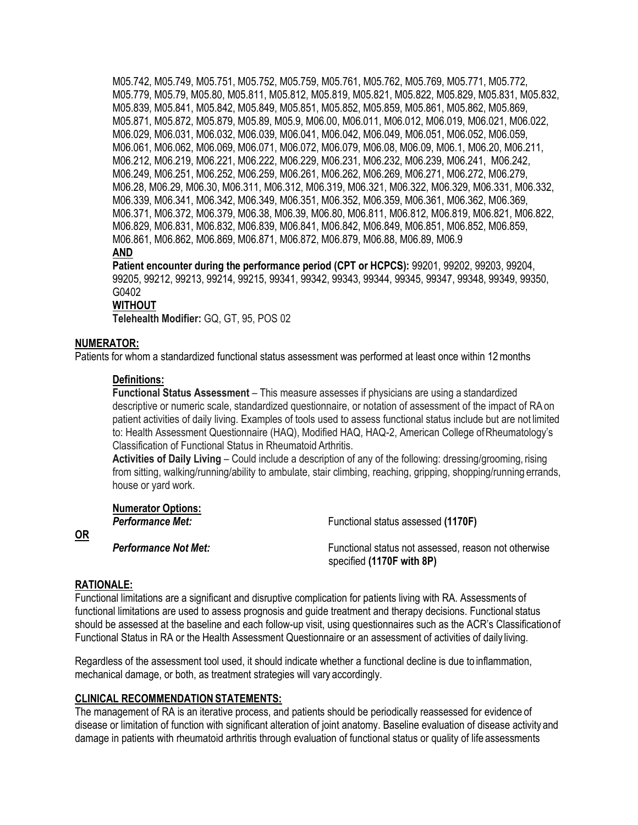M05.742, M05.749, M05.751, M05.752, M05.759, M05.761, M05.762, M05.769, M05.771, M05.772, M05.779, M05.79, M05.80, M05.811, M05.812, M05.819, M05.821, M05.822, M05.829, M05.831, M05.832, M05.839, M05.841, M05.842, M05.849, M05.851, M05.852, M05.859, M05.861, M05.862, M05.869, M05.871, M05.872, M05.879, M05.89, M05.9, M06.00, M06.011, M06.012, M06.019, M06.021, M06.022, M06.029, M06.031, M06.032, M06.039, M06.041, M06.042, M06.049, M06.051, M06.052, M06.059, M06.061, M06.062, M06.069, M06.071, M06.072, M06.079, M06.08, M06.09, M06.1, M06.20, M06.211, M06.212, M06.219, M06.221, M06.222, M06.229, M06.231, M06.232, M06.239, M06.241, M06.242, M06.249, M06.251, M06.252, M06.259, M06.261, M06.262, M06.269, M06.271, M06.272, M06.279, M06.28, M06.29, M06.30, M06.311, M06.312, M06.319, M06.321, M06.322, M06.329, M06.331, M06.332, M06.339, M06.341, M06.342, M06.349, M06.351, M06.352, M06.359, M06.361, M06.362, M06.369, M06.371, M06.372, M06.379, M06.38, M06.39, M06.80, M06.811, M06.812, M06.819, M06.821, M06.822, M06.829, M06.831, M06.832, M06.839, M06.841, M06.842, M06.849, M06.851, M06.852, M06.859, M06.861, M06.862, M06.869, M06.871, M06.872, M06.879, M06.88, M06.89, M06.9 **AND**

**Patient encounter during the performance period (CPT or HCPCS):** 99201, 99202, 99203, 99204, 99205, 99212, 99213, 99214, 99215, 99341, 99342, 99343, 99344, 99345, 99347, 99348, 99349, 99350, G0402

## **WITHOUT**

**Telehealth Modifier:** GQ, GT, 95, POS 02

## **NUMERATOR:**

Patients for whom a standardized functional status assessment was performed at least once within 12months

### **Definitions:**

**Functional Status Assessment** – This measure assesses if physicians are using a standardized descriptive or numeric scale, standardized questionnaire, or notation of assessment of the impact of RAon patient activities of daily living. Examples of tools used to assess functional status include but are not limited to: Health Assessment Questionnaire (HAQ), Modified HAQ, HAQ-2, American College ofRheumatology's Classification of Functional Status in Rheumatoid Arthritis.

**Activities of Daily Living** – Could include a description of any of the following: dressing/grooming, rising from sitting, walking/running/ability to ambulate, stair climbing, reaching, gripping, shopping/running errands, house or yard work.

| <b>Numerator Options:</b><br><b>Performance Met:</b> | Functional status assessed (1170F)                                                |
|------------------------------------------------------|-----------------------------------------------------------------------------------|
| <b>Performance Not Met:</b>                          | Functional status not assessed, reason not otherwise<br>specified (1170F with 8P) |

## **RATIONALE:**

**OR**

Functional limitations are a significant and disruptive complication for patients living with RA. Assessments of functional limitations are used to assess prognosis and guide treatment and therapy decisions. Functional status should be assessed at the baseline and each follow-up visit, using questionnaires such as the ACR's Classificationof Functional Status in RA or the Health Assessment Questionnaire or an assessment of activities of daily living.

Regardless of the assessment tool used, it should indicate whether a functional decline is due to inflammation, mechanical damage, or both, as treatment strategies will vary accordingly.

## **CLINICAL RECOMMENDATIONSTATEMENTS:**

The management of RA is an iterative process, and patients should be periodically reassessed for evidence of disease or limitation of function with significant alteration of joint anatomy. Baseline evaluation of disease activity and damage in patients with rheumatoid arthritis through evaluation of functional status or quality of life assessments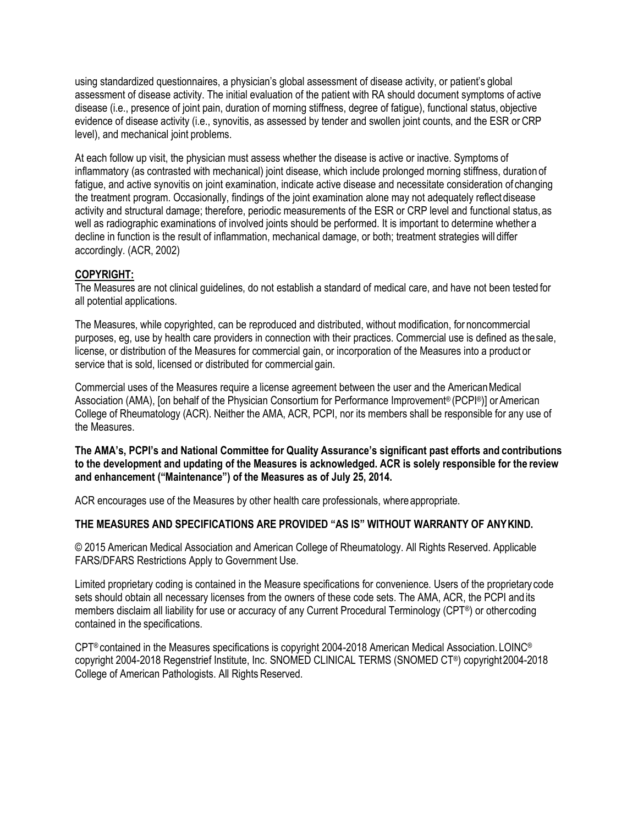using standardized questionnaires, a physician's global assessment of disease activity, or patient's global assessment of disease activity. The initial evaluation of the patient with RA should document symptoms of active disease (i.e., presence of joint pain, duration of morning stiffness, degree of fatigue), functional status, objective evidence of disease activity (i.e., synovitis, as assessed by tender and swollen joint counts, and the ESR or CRP level), and mechanical joint problems.

At each follow up visit, the physician must assess whether the disease is active or inactive. Symptoms of inflammatory (as contrasted with mechanical) joint disease, which include prolonged morning stiffness, duration of fatigue, and active synovitis on joint examination, indicate active disease and necessitate consideration of changing the treatment program. Occasionally, findings of the joint examination alone may not adequately reflect disease activity and structural damage; therefore, periodic measurements of the ESR or CRP level and functional status,as well as radiographic examinations of involved joints should be performed. It is important to determine whether a decline in function is the result of inflammation, mechanical damage, or both; treatment strategies will differ accordingly. (ACR, 2002)

## **COPYRIGHT:**

The Measures are not clinical guidelines, do not establish a standard of medical care, and have not been tested for all potential applications.

The Measures, while copyrighted, can be reproduced and distributed, without modification, for noncommercial purposes, eg, use by health care providers in connection with their practices. Commercial use is defined as thesale, license, or distribution of the Measures for commercial gain, or incorporation of the Measures into a product or service that is sold, licensed or distributed for commercial gain.

Commercial uses of the Measures require a license agreement between the user and the AmericanMedical Association (AMA), [on behalf of the Physician Consortium for Performance Improvement® (PCPI®)] or American College of Rheumatology (ACR). Neither the AMA, ACR, PCPI, nor its members shall be responsible for any use of the Measures.

**The AMA's, PCPI's and National Committee for Quality Assurance's significant past efforts and contributions to the development and updating of the Measures is acknowledged. ACR is solely responsible for the review and enhancement ("Maintenance") of the Measures as of July 25, 2014.**

ACR encourages use of the Measures by other health care professionals, where appropriate.

## **THE MEASURES AND SPECIFICATIONS ARE PROVIDED "AS IS" WITHOUT WARRANTY OF ANYKIND.**

© 2015 American Medical Association and American College of Rheumatology. All Rights Reserved. Applicable FARS/DFARS Restrictions Apply to Government Use.

Limited proprietary coding is contained in the Measure specifications for convenience. Users of the proprietary code sets should obtain all necessary licenses from the owners of these code sets. The AMA, ACR, the PCPI andits members disclaim all liability for use or accuracy of any Current Procedural Terminology (CPT®) or othercoding contained in the specifications.

CPT® contained in the Measures specifications is copyright 2004-2018 American Medical Association.LOINC® copyright 2004-2018 Regenstrief Institute, Inc. SNOMED CLINICAL TERMS (SNOMED CT®) copyright2004-2018 College of American Pathologists. All Rights Reserved.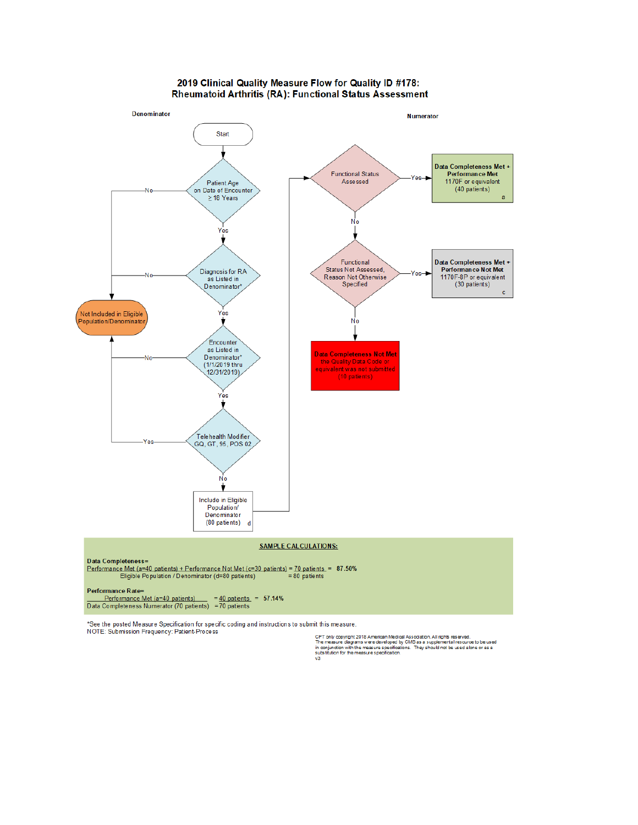#### 2019 Clinical Quality Measure Flow for Quality ID #178: Rheumatoid Arthritis (RA): Functional Status Assessment



\*See the posted Measure Specification for specific coding and instructions to submit this measure. NOTE: Submission Frequency: Patient-Process

CPT only oopyright 2018 American Medical Association. All rights reserved.<br>The measure diagrams were developed by CMS as a supplemental resource to be used<br>in conjunction with the measure specifications. They should not be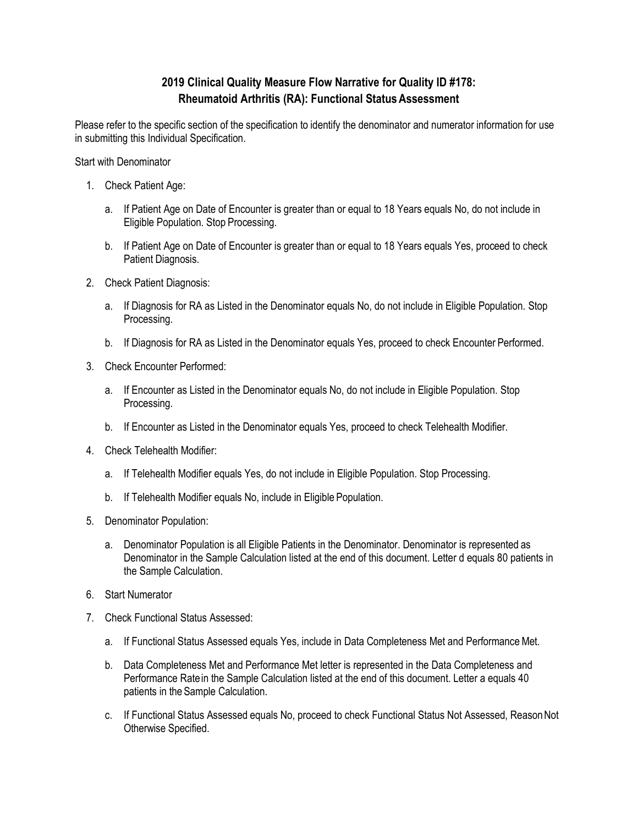# **2019 Clinical Quality Measure Flow Narrative for Quality ID #178: Rheumatoid Arthritis (RA): Functional StatusAssessment**

Please refer to the specific section of the specification to identify the denominator and numerator information for use in submitting this Individual Specification.

Start with Denominator

- 1. Check Patient Age:
	- a. If Patient Age on Date of Encounter is greater than or equal to 18 Years equals No, do not include in Eligible Population. Stop Processing.
	- b. If Patient Age on Date of Encounter is greater than or equal to 18 Years equals Yes, proceed to check Patient Diagnosis.
- 2. Check Patient Diagnosis:
	- a. If Diagnosis for RA as Listed in the Denominator equals No, do not include in Eligible Population. Stop Processing.
	- b. If Diagnosis for RA as Listed in the Denominator equals Yes, proceed to check Encounter Performed.
- 3. Check Encounter Performed:
	- a. If Encounter as Listed in the Denominator equals No, do not include in Eligible Population. Stop Processing.
	- b. If Encounter as Listed in the Denominator equals Yes, proceed to check Telehealth Modifier.
- 4. Check Telehealth Modifier:
	- a. If Telehealth Modifier equals Yes, do not include in Eligible Population. Stop Processing.
	- b. If Telehealth Modifier equals No, include in Eligible Population.
- 5. Denominator Population:
	- a. Denominator Population is all Eligible Patients in the Denominator. Denominator is represented as Denominator in the Sample Calculation listed at the end of this document. Letter d equals 80 patients in the Sample Calculation.
- 6. Start Numerator
- 7. Check Functional Status Assessed:
	- a. If Functional Status Assessed equals Yes, include in Data Completeness Met and Performance Met.
	- b. Data Completeness Met and Performance Met letter is represented in the Data Completeness and Performance Ratein the Sample Calculation listed at the end of this document. Letter a equals 40 patients in the Sample Calculation.
	- c. If Functional Status Assessed equals No, proceed to check Functional Status Not Assessed, ReasonNot Otherwise Specified.